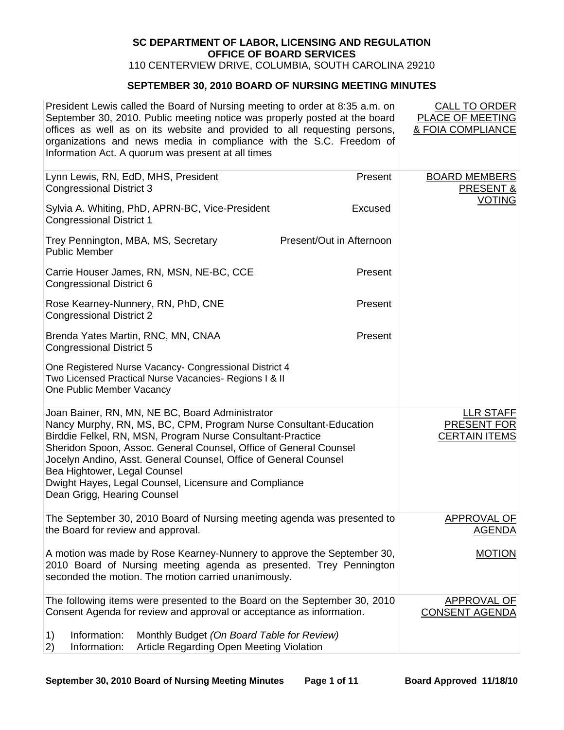## **SC DEPARTMENT OF LABOR, LICENSING AND REGULATION OFFICE OF BOARD SERVICES**

110 CENTERVIEW DRIVE, COLUMBIA, SOUTH CAROLINA 29210

## **SEPTEMBER 30, 2010 BOARD OF NURSING MEETING MINUTES**

| President Lewis called the Board of Nursing meeting to order at 8:35 a.m. on<br>September 30, 2010. Public meeting notice was properly posted at the board<br>offices as well as on its website and provided to all requesting persons,<br>organizations and news media in compliance with the S.C. Freedom of<br>Information Act. A quorum was present at all times                                                                                |                          | <b>CALL TO ORDER</b><br><b>PLACE OF MEETING</b><br>& FOIA COMPLIANCE |
|-----------------------------------------------------------------------------------------------------------------------------------------------------------------------------------------------------------------------------------------------------------------------------------------------------------------------------------------------------------------------------------------------------------------------------------------------------|--------------------------|----------------------------------------------------------------------|
| Lynn Lewis, RN, EdD, MHS, President<br><b>Congressional District 3</b>                                                                                                                                                                                                                                                                                                                                                                              | Present                  | <b>BOARD MEMBERS</b><br>PRESENT &                                    |
| Sylvia A. Whiting, PhD, APRN-BC, Vice-President<br><b>Congressional District 1</b>                                                                                                                                                                                                                                                                                                                                                                  | Excused                  | <b>VOTING</b>                                                        |
| Trey Pennington, MBA, MS, Secretary<br><b>Public Member</b>                                                                                                                                                                                                                                                                                                                                                                                         | Present/Out in Afternoon |                                                                      |
| Carrie Houser James, RN, MSN, NE-BC, CCE<br>Congressional District 6                                                                                                                                                                                                                                                                                                                                                                                | Present                  |                                                                      |
| Rose Kearney-Nunnery, RN, PhD, CNE<br><b>Congressional District 2</b>                                                                                                                                                                                                                                                                                                                                                                               | Present                  |                                                                      |
| Brenda Yates Martin, RNC, MN, CNAA<br><b>Congressional District 5</b>                                                                                                                                                                                                                                                                                                                                                                               | Present                  |                                                                      |
| One Registered Nurse Vacancy- Congressional District 4<br>Two Licensed Practical Nurse Vacancies- Regions I & II<br>One Public Member Vacancy                                                                                                                                                                                                                                                                                                       |                          |                                                                      |
| Joan Bainer, RN, MN, NE BC, Board Administrator<br>Nancy Murphy, RN, MS, BC, CPM, Program Nurse Consultant-Education<br>Birddie Felkel, RN, MSN, Program Nurse Consultant-Practice<br>Sheridon Spoon, Assoc. General Counsel, Office of General Counsel<br>Jocelyn Andino, Asst. General Counsel, Office of General Counsel<br>Bea Hightower, Legal Counsel<br>Dwight Hayes, Legal Counsel, Licensure and Compliance<br>Dean Grigg, Hearing Counsel |                          | LLR STAFF<br><b>PRESENT FOR</b><br><b>CERTAIN ITEMS</b>              |
| The September 30, 2010 Board of Nursing meeting agenda was presented to<br>the Board for review and approval.                                                                                                                                                                                                                                                                                                                                       |                          | <b>APPROVAL OF</b><br><b>AGENDA</b>                                  |
| A motion was made by Rose Kearney-Nunnery to approve the September 30,<br>2010 Board of Nursing meeting agenda as presented. Trey Pennington<br>seconded the motion. The motion carried unanimously.                                                                                                                                                                                                                                                |                          | <b>MOTION</b>                                                        |
| The following items were presented to the Board on the September 30, 2010<br>Consent Agenda for review and approval or acceptance as information.                                                                                                                                                                                                                                                                                                   |                          | APPROVAL OF<br><b>CONSENT AGENDA</b>                                 |
| Information:<br>Monthly Budget (On Board Table for Review)<br>1)<br>2)<br>Information:<br>Article Regarding Open Meeting Violation                                                                                                                                                                                                                                                                                                                  |                          |                                                                      |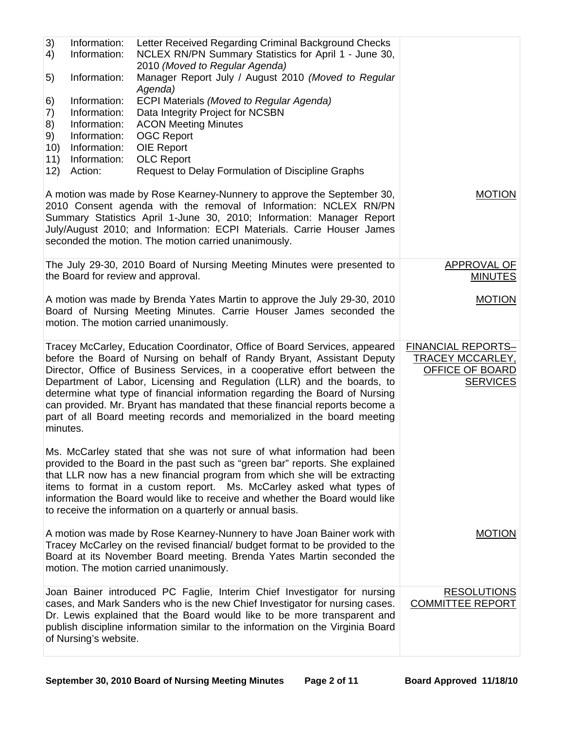| 3)<br>4)<br>5)<br>6)                | Information:<br>Information:<br>Information:<br>Information:                            | Letter Received Regarding Criminal Background Checks<br>NCLEX RN/PN Summary Statistics for April 1 - June 30,<br>2010 (Moved to Regular Agenda)<br>Manager Report July / August 2010 (Moved to Regular<br>Agenda)<br><b>ECPI Materials (Moved to Regular Agenda)</b>                                                                                                                                                                                                                                                                                   |                                                                                     |
|-------------------------------------|-----------------------------------------------------------------------------------------|--------------------------------------------------------------------------------------------------------------------------------------------------------------------------------------------------------------------------------------------------------------------------------------------------------------------------------------------------------------------------------------------------------------------------------------------------------------------------------------------------------------------------------------------------------|-------------------------------------------------------------------------------------|
| 7)<br>8)<br>9)<br>10)<br>11)<br>12) | Information:<br>Information:<br>Information:<br>Information:<br>Information:<br>Action: | Data Integrity Project for NCSBN<br><b>ACON Meeting Minutes</b><br><b>OGC Report</b><br>OIE Report<br><b>OLC Report</b><br>Request to Delay Formulation of Discipline Graphs                                                                                                                                                                                                                                                                                                                                                                           |                                                                                     |
|                                     |                                                                                         | A motion was made by Rose Kearney-Nunnery to approve the September 30,<br>2010 Consent agenda with the removal of Information: NCLEX RN/PN<br>Summary Statistics April 1-June 30, 2010; Information: Manager Report<br>July/August 2010; and Information: ECPI Materials. Carrie Houser James<br>seconded the motion. The motion carried unanimously.                                                                                                                                                                                                  | <b>MOTION</b>                                                                       |
|                                     |                                                                                         | The July 29-30, 2010 Board of Nursing Meeting Minutes were presented to<br>the Board for review and approval.                                                                                                                                                                                                                                                                                                                                                                                                                                          | APPROVAL OF<br><b>MINUTES</b>                                                       |
|                                     |                                                                                         | A motion was made by Brenda Yates Martin to approve the July 29-30, 2010<br>Board of Nursing Meeting Minutes. Carrie Houser James seconded the<br>motion. The motion carried unanimously.                                                                                                                                                                                                                                                                                                                                                              | <b>MOTION</b>                                                                       |
| minutes.                            |                                                                                         | Tracey McCarley, Education Coordinator, Office of Board Services, appeared<br>before the Board of Nursing on behalf of Randy Bryant, Assistant Deputy<br>Director, Office of Business Services, in a cooperative effort between the<br>Department of Labor, Licensing and Regulation (LLR) and the boards, to<br>determine what type of financial information regarding the Board of Nursing<br>can provided. Mr. Bryant has mandated that these financial reports become a<br>part of all Board meeting records and memorialized in the board meeting | <b>FINANCIAL REPORTS-</b><br>TRACEY MCCARLEY,<br>OFFICE OF BOARD<br><b>SERVICES</b> |
|                                     |                                                                                         | Ms. McCarley stated that she was not sure of what information had been<br>provided to the Board in the past such as "green bar" reports. She explained<br>that LLR now has a new financial program from which she will be extracting<br>items to format in a custom report. Ms. McCarley asked what types of<br>information the Board would like to receive and whether the Board would like<br>to receive the information on a quarterly or annual basis.                                                                                             |                                                                                     |
|                                     |                                                                                         | A motion was made by Rose Kearney-Nunnery to have Joan Bainer work with<br>Tracey McCarley on the revised financial/ budget format to be provided to the<br>Board at its November Board meeting. Brenda Yates Martin seconded the<br>motion. The motion carried unanimously.                                                                                                                                                                                                                                                                           | <b>MOTION</b>                                                                       |
|                                     | of Nursing's website.                                                                   | Joan Bainer introduced PC Faglie, Interim Chief Investigator for nursing<br>cases, and Mark Sanders who is the new Chief Investigator for nursing cases.<br>Dr. Lewis explained that the Board would like to be more transparent and<br>publish discipline information similar to the information on the Virginia Board                                                                                                                                                                                                                                | <b>RESOLUTIONS</b><br><b>COMMITTEE REPORT</b>                                       |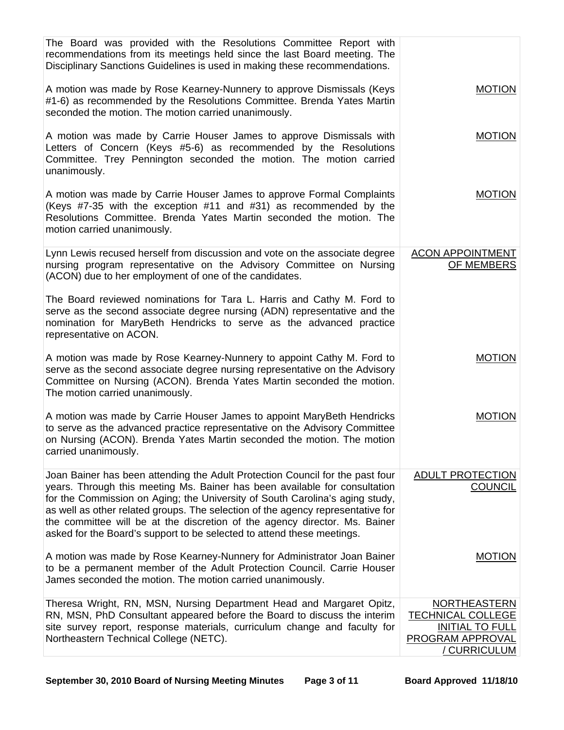| The Board was provided with the Resolutions Committee Report with<br>recommendations from its meetings held since the last Board meeting. The<br>Disciplinary Sanctions Guidelines is used in making these recommendations.                                                                                                                                                                                                                                                            |                                                                                                                             |
|----------------------------------------------------------------------------------------------------------------------------------------------------------------------------------------------------------------------------------------------------------------------------------------------------------------------------------------------------------------------------------------------------------------------------------------------------------------------------------------|-----------------------------------------------------------------------------------------------------------------------------|
| A motion was made by Rose Kearney-Nunnery to approve Dismissals (Keys<br>#1-6) as recommended by the Resolutions Committee. Brenda Yates Martin<br>seconded the motion. The motion carried unanimously.                                                                                                                                                                                                                                                                                | <b>MOTION</b>                                                                                                               |
| A motion was made by Carrie Houser James to approve Dismissals with<br>Letters of Concern (Keys #5-6) as recommended by the Resolutions<br>Committee. Trey Pennington seconded the motion. The motion carried<br>unanimously.                                                                                                                                                                                                                                                          | <b>MOTION</b>                                                                                                               |
| A motion was made by Carrie Houser James to approve Formal Complaints<br>(Keys #7-35 with the exception #11 and #31) as recommended by the<br>Resolutions Committee. Brenda Yates Martin seconded the motion. The<br>motion carried unanimously.                                                                                                                                                                                                                                       | <b>MOTION</b>                                                                                                               |
| Lynn Lewis recused herself from discussion and vote on the associate degree<br>nursing program representative on the Advisory Committee on Nursing<br>(ACON) due to her employment of one of the candidates.                                                                                                                                                                                                                                                                           | <b>ACON APPOINTMENT</b><br>OF MEMBERS                                                                                       |
| The Board reviewed nominations for Tara L. Harris and Cathy M. Ford to<br>serve as the second associate degree nursing (ADN) representative and the<br>nomination for MaryBeth Hendricks to serve as the advanced practice<br>representative on ACON.                                                                                                                                                                                                                                  |                                                                                                                             |
| A motion was made by Rose Kearney-Nunnery to appoint Cathy M. Ford to<br>serve as the second associate degree nursing representative on the Advisory<br>Committee on Nursing (ACON). Brenda Yates Martin seconded the motion.<br>The motion carried unanimously.                                                                                                                                                                                                                       | <b>MOTION</b>                                                                                                               |
| A motion was made by Carrie Houser James to appoint MaryBeth Hendricks<br>to serve as the advanced practice representative on the Advisory Committee<br>on Nursing (ACON). Brenda Yates Martin seconded the motion. The motion<br>carried unanimously.                                                                                                                                                                                                                                 | <b>MOTION</b>                                                                                                               |
| Joan Bainer has been attending the Adult Protection Council for the past four<br>years. Through this meeting Ms. Bainer has been available for consultation<br>for the Commission on Aging; the University of South Carolina's aging study,<br>as well as other related groups. The selection of the agency representative for<br>the committee will be at the discretion of the agency director. Ms. Bainer<br>asked for the Board's support to be selected to attend these meetings. | ADULT PROTECTION<br><b>COUNCIL</b>                                                                                          |
| A motion was made by Rose Kearney-Nunnery for Administrator Joan Bainer<br>to be a permanent member of the Adult Protection Council. Carrie Houser<br>James seconded the motion. The motion carried unanimously.                                                                                                                                                                                                                                                                       | <b>MOTION</b>                                                                                                               |
| Theresa Wright, RN, MSN, Nursing Department Head and Margaret Opitz,<br>RN, MSN, PhD Consultant appeared before the Board to discuss the interim<br>site survey report, response materials, curriculum change and faculty for<br>Northeastern Technical College (NETC).                                                                                                                                                                                                                | <b>NORTHEASTERN</b><br><b>TECHNICAL COLLEGE</b><br><b>INITIAL TO FULL</b><br><b>PROGRAM APPROVAL</b><br><u>/ CURRICULUM</u> |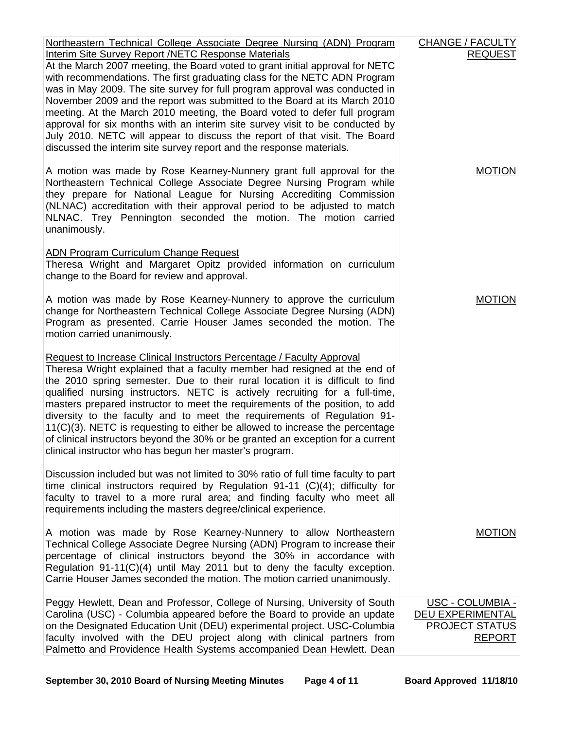| Northeastern Technical College Associate Degree Nursing (ADN) Program                                                                                                                                                                                                                                                                                                                                                                                                                                                                                                                                                                                                                                           | CHANGE / FACULTY                                                                              |
|-----------------------------------------------------------------------------------------------------------------------------------------------------------------------------------------------------------------------------------------------------------------------------------------------------------------------------------------------------------------------------------------------------------------------------------------------------------------------------------------------------------------------------------------------------------------------------------------------------------------------------------------------------------------------------------------------------------------|-----------------------------------------------------------------------------------------------|
| Interim Site Survey Report /NETC Response Materials<br>At the March 2007 meeting, the Board voted to grant initial approval for NETC<br>with recommendations. The first graduating class for the NETC ADN Program<br>was in May 2009. The site survey for full program approval was conducted in<br>November 2009 and the report was submitted to the Board at its March 2010<br>meeting. At the March 2010 meeting, the Board voted to defer full program<br>approval for six months with an interim site survey visit to be conducted by<br>July 2010. NETC will appear to discuss the report of that visit. The Board<br>discussed the interim site survey report and the response materials.                | <b>REQUEST</b>                                                                                |
| A motion was made by Rose Kearney-Nunnery grant full approval for the<br>Northeastern Technical College Associate Degree Nursing Program while<br>they prepare for National League for Nursing Accrediting Commission<br>(NLNAC) accreditation with their approval period to be adjusted to match<br>NLNAC. Trey Pennington seconded the motion. The motion carried<br>unanimously.                                                                                                                                                                                                                                                                                                                             | <b>MOTION</b>                                                                                 |
| <b>ADN Program Curriculum Change Request</b><br>Theresa Wright and Margaret Opitz provided information on curriculum<br>change to the Board for review and approval.                                                                                                                                                                                                                                                                                                                                                                                                                                                                                                                                            |                                                                                               |
| A motion was made by Rose Kearney-Nunnery to approve the curriculum<br>change for Northeastern Technical College Associate Degree Nursing (ADN)<br>Program as presented. Carrie Houser James seconded the motion. The<br>motion carried unanimously.                                                                                                                                                                                                                                                                                                                                                                                                                                                            | <b>MOTION</b>                                                                                 |
| Request to Increase Clinical Instructors Percentage / Faculty Approval<br>Theresa Wright explained that a faculty member had resigned at the end of<br>the 2010 spring semester. Due to their rural location it is difficult to find<br>qualified nursing instructors. NETC is actively recruiting for a full-time,<br>masters prepared instructor to meet the requirements of the position, to add<br>diversity to the faculty and to meet the requirements of Regulation 91-<br>$11(C)(3)$ . NETC is requesting to either be allowed to increase the percentage<br>of clinical instructors beyond the 30% or be granted an exception for a current<br>clinical instructor who has begun her master's program. |                                                                                               |
| Discussion included but was not limited to 30% ratio of full time faculty to part<br>time clinical instructors required by Regulation $91-11$ (C)(4); difficulty for<br>faculty to travel to a more rural area; and finding faculty who meet all<br>requirements including the masters degree/clinical experience.                                                                                                                                                                                                                                                                                                                                                                                              |                                                                                               |
| A motion was made by Rose Kearney-Nunnery to allow Northeastern<br>Technical College Associate Degree Nursing (ADN) Program to increase their<br>percentage of clinical instructors beyond the 30% in accordance with<br>Regulation 91-11(C)(4) until May 2011 but to deny the faculty exception.<br>Carrie Houser James seconded the motion. The motion carried unanimously.                                                                                                                                                                                                                                                                                                                                   | <b>MOTION</b>                                                                                 |
| Peggy Hewlett, Dean and Professor, College of Nursing, University of South<br>Carolina (USC) - Columbia appeared before the Board to provide an update<br>on the Designated Education Unit (DEU) experimental project. USC-Columbia<br>faculty involved with the DEU project along with clinical partners from<br>Palmetto and Providence Health Systems accompanied Dean Hewlett. Dean                                                                                                                                                                                                                                                                                                                         | <u> USC - COLUMBIA -</u><br><b>DEU EXPERIMENTAL</b><br><b>PROJECT STATUS</b><br><b>REPORT</b> |

September 30, 2010 Board of Nursing Meeting Minutes Page 4 of 11 Board Approved 11/18/10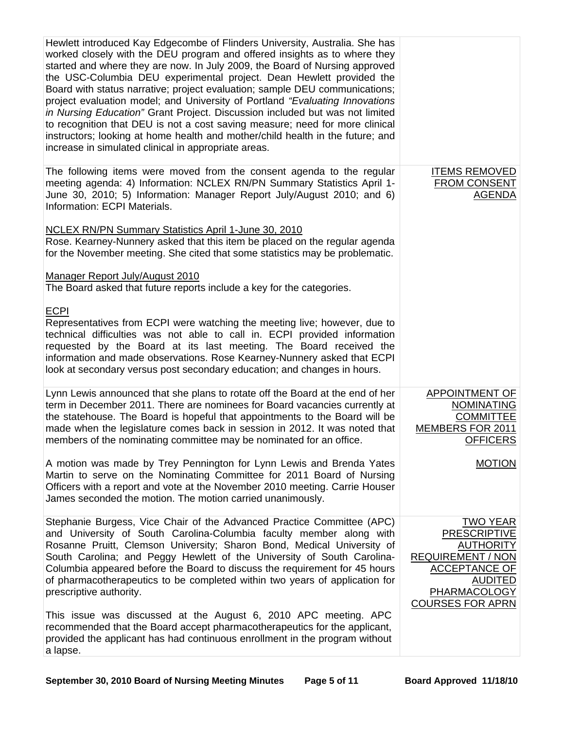| Hewlett introduced Kay Edgecombe of Flinders University, Australia. She has<br>worked closely with the DEU program and offered insights as to where they<br>started and where they are now. In July 2009, the Board of Nursing approved<br>the USC-Columbia DEU experimental project. Dean Hewlett provided the<br>Board with status narrative; project evaluation; sample DEU communications;<br>project evaluation model; and University of Portland "Evaluating Innovations<br>in Nursing Education" Grant Project. Discussion included but was not limited<br>to recognition that DEU is not a cost saving measure; need for more clinical<br>instructors; looking at home health and mother/child health in the future; and<br>increase in simulated clinical in appropriate areas. |                                                                                                                                                                                    |
|------------------------------------------------------------------------------------------------------------------------------------------------------------------------------------------------------------------------------------------------------------------------------------------------------------------------------------------------------------------------------------------------------------------------------------------------------------------------------------------------------------------------------------------------------------------------------------------------------------------------------------------------------------------------------------------------------------------------------------------------------------------------------------------|------------------------------------------------------------------------------------------------------------------------------------------------------------------------------------|
| The following items were moved from the consent agenda to the regular<br>meeting agenda: 4) Information: NCLEX RN/PN Summary Statistics April 1-<br>June 30, 2010; 5) Information: Manager Report July/August 2010; and 6)<br>Information: ECPI Materials.                                                                                                                                                                                                                                                                                                                                                                                                                                                                                                                               | <b>ITEMS REMOVED</b><br><b>FROM CONSENT</b><br><b>AGENDA</b>                                                                                                                       |
| <b>NCLEX RN/PN Summary Statistics April 1-June 30, 2010</b><br>Rose. Kearney-Nunnery asked that this item be placed on the regular agenda<br>for the November meeting. She cited that some statistics may be problematic.                                                                                                                                                                                                                                                                                                                                                                                                                                                                                                                                                                |                                                                                                                                                                                    |
| Manager Report July/August 2010<br>The Board asked that future reports include a key for the categories.                                                                                                                                                                                                                                                                                                                                                                                                                                                                                                                                                                                                                                                                                 |                                                                                                                                                                                    |
| <b>ECPI</b><br>Representatives from ECPI were watching the meeting live; however, due to<br>technical difficulties was not able to call in. ECPI provided information<br>requested by the Board at its last meeting. The Board received the<br>information and made observations. Rose Kearney-Nunnery asked that ECPI<br>look at secondary versus post secondary education; and changes in hours.                                                                                                                                                                                                                                                                                                                                                                                       |                                                                                                                                                                                    |
| Lynn Lewis announced that she plans to rotate off the Board at the end of her<br>term in December 2011. There are nominees for Board vacancies currently at<br>the statehouse. The Board is hopeful that appointments to the Board will be<br>made when the legislature comes back in session in 2012. It was noted that<br>members of the nominating committee may be nominated for an office.                                                                                                                                                                                                                                                                                                                                                                                          | <b>APPOINTMENT OF</b><br><b>NOMINATING</b><br><b>COMMITTEE</b><br>MEMBERS FOR 2011<br><b>OFFICERS</b>                                                                              |
| A motion was made by Trey Pennington for Lynn Lewis and Brenda Yates<br>Martin to serve on the Nominating Committee for 2011 Board of Nursing<br>Officers with a report and vote at the November 2010 meeting. Carrie Houser<br>James seconded the motion. The motion carried unanimously.                                                                                                                                                                                                                                                                                                                                                                                                                                                                                               | <b>MOTION</b>                                                                                                                                                                      |
| Stephanie Burgess, Vice Chair of the Advanced Practice Committee (APC)<br>and University of South Carolina-Columbia faculty member along with<br>Rosanne Pruitt, Clemson University; Sharon Bond, Medical University of<br>South Carolina; and Peggy Hewlett of the University of South Carolina-<br>Columbia appeared before the Board to discuss the requirement for 45 hours<br>of pharmacotherapeutics to be completed within two years of application for<br>prescriptive authority.                                                                                                                                                                                                                                                                                                | <b>TWO YEAR</b><br><b>PRESCRIPTIVE</b><br><b>AUTHORITY</b><br><b>REQUIREMENT / NON</b><br><b>ACCEPTANCE OF</b><br><b>AUDITED</b><br><b>PHARMACOLOGY</b><br><b>COURSES FOR APRN</b> |
| This issue was discussed at the August 6, 2010 APC meeting. APC<br>recommended that the Board accept pharmacotherapeutics for the applicant,<br>provided the applicant has had continuous enrollment in the program without<br>a lapse.                                                                                                                                                                                                                                                                                                                                                                                                                                                                                                                                                  |                                                                                                                                                                                    |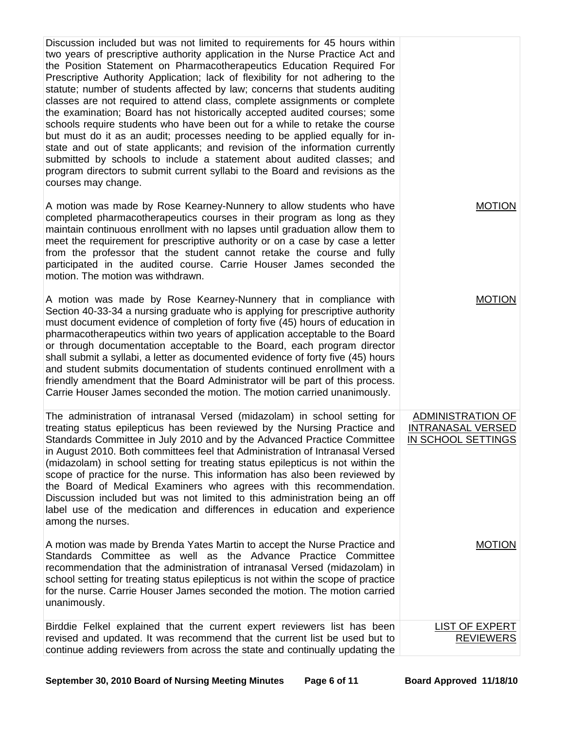| courses may change.               | Discussion included but was not limited to requirements for 45 hours within<br>two years of prescriptive authority application in the Nurse Practice Act and<br>the Position Statement on Pharmacotherapeutics Education Required For<br>Prescriptive Authority Application; lack of flexibility for not adhering to the<br>statute; number of students affected by law; concerns that students auditing<br>classes are not required to attend class, complete assignments or complete<br>the examination; Board has not historically accepted audited courses; some<br>schools require students who have been out for a while to retake the course<br>but must do it as an audit; processes needing to be applied equally for in-<br>state and out of state applicants; and revision of the information currently<br>submitted by schools to include a statement about audited classes; and<br>program directors to submit current syllabi to the Board and revisions as the |                                                                     |
|-----------------------------------|-------------------------------------------------------------------------------------------------------------------------------------------------------------------------------------------------------------------------------------------------------------------------------------------------------------------------------------------------------------------------------------------------------------------------------------------------------------------------------------------------------------------------------------------------------------------------------------------------------------------------------------------------------------------------------------------------------------------------------------------------------------------------------------------------------------------------------------------------------------------------------------------------------------------------------------------------------------------------------|---------------------------------------------------------------------|
| motion. The motion was withdrawn. | A motion was made by Rose Kearney-Nunnery to allow students who have<br>completed pharmacotherapeutics courses in their program as long as they<br>maintain continuous enrollment with no lapses until graduation allow them to<br>meet the requirement for prescriptive authority or on a case by case a letter<br>from the professor that the student cannot retake the course and fully<br>participated in the audited course. Carrie Houser James seconded the                                                                                                                                                                                                                                                                                                                                                                                                                                                                                                            | <b>MOTION</b>                                                       |
|                                   | A motion was made by Rose Kearney-Nunnery that in compliance with<br>Section 40-33-34 a nursing graduate who is applying for prescriptive authority<br>must document evidence of completion of forty five (45) hours of education in<br>pharmacotherapeutics within two years of application acceptable to the Board<br>or through documentation acceptable to the Board, each program director<br>shall submit a syllabi, a letter as documented evidence of forty five (45) hours<br>and student submits documentation of students continued enrollment with a<br>friendly amendment that the Board Administrator will be part of this process.<br>Carrie Houser James seconded the motion. The motion carried unanimously.                                                                                                                                                                                                                                                 | <b>MOTION</b>                                                       |
| among the nurses.                 | The administration of intranasal Versed (midazolam) in school setting for<br>treating status epilepticus has been reviewed by the Nursing Practice and<br>Standards Committee in July 2010 and by the Advanced Practice Committee<br>in August 2010. Both committees feel that Administration of Intranasal Versed<br>(midazolam) in school setting for treating status epilepticus is not within the<br>scope of practice for the nurse. This information has also been reviewed by<br>the Board of Medical Examiners who agrees with this recommendation.<br>Discussion included but was not limited to this administration being an off<br>label use of the medication and differences in education and experience                                                                                                                                                                                                                                                         | ADMINISTRATION OF<br><b>INTRANASAL VERSED</b><br>IN SCHOOL SETTINGS |
| unanimously.                      | A motion was made by Brenda Yates Martin to accept the Nurse Practice and<br>Standards Committee as well as the Advance Practice Committee<br>recommendation that the administration of intranasal Versed (midazolam) in<br>school setting for treating status epilepticus is not within the scope of practice<br>for the nurse. Carrie Houser James seconded the motion. The motion carried                                                                                                                                                                                                                                                                                                                                                                                                                                                                                                                                                                                  | <b>MOTION</b>                                                       |
|                                   | Birddie Felkel explained that the current expert reviewers list has been<br>revised and updated. It was recommend that the current list be used but to<br>continue adding reviewers from across the state and continually updating the                                                                                                                                                                                                                                                                                                                                                                                                                                                                                                                                                                                                                                                                                                                                        | <b>LIST OF EXPERT</b><br><b>REVIEWERS</b>                           |

September 30, 2010 Board of Nursing Meeting Minutes Page 6 of 11 Board Approved 11/18/10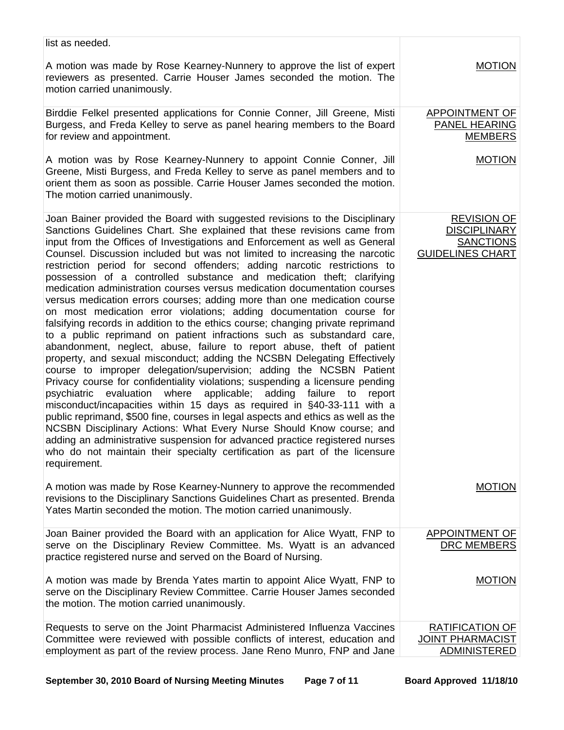| list as needed.                                                                                                                                                                                                                                                                                                                                                                                                                                                                                                                                                                                                                                                                                                                                                                                                                                                                                                                                                                                                                                                                                                                                                                                                                                                                                                                                                                                                                                                                                                                                                                                                                                                                             |                                                                                          |
|---------------------------------------------------------------------------------------------------------------------------------------------------------------------------------------------------------------------------------------------------------------------------------------------------------------------------------------------------------------------------------------------------------------------------------------------------------------------------------------------------------------------------------------------------------------------------------------------------------------------------------------------------------------------------------------------------------------------------------------------------------------------------------------------------------------------------------------------------------------------------------------------------------------------------------------------------------------------------------------------------------------------------------------------------------------------------------------------------------------------------------------------------------------------------------------------------------------------------------------------------------------------------------------------------------------------------------------------------------------------------------------------------------------------------------------------------------------------------------------------------------------------------------------------------------------------------------------------------------------------------------------------------------------------------------------------|------------------------------------------------------------------------------------------|
| A motion was made by Rose Kearney-Nunnery to approve the list of expert<br>reviewers as presented. Carrie Houser James seconded the motion. The<br>motion carried unanimously.                                                                                                                                                                                                                                                                                                                                                                                                                                                                                                                                                                                                                                                                                                                                                                                                                                                                                                                                                                                                                                                                                                                                                                                                                                                                                                                                                                                                                                                                                                              | <b>MOTION</b>                                                                            |
| Birddie Felkel presented applications for Connie Conner, Jill Greene, Misti<br>Burgess, and Freda Kelley to serve as panel hearing members to the Board<br>for review and appointment.                                                                                                                                                                                                                                                                                                                                                                                                                                                                                                                                                                                                                                                                                                                                                                                                                                                                                                                                                                                                                                                                                                                                                                                                                                                                                                                                                                                                                                                                                                      | APPOINTMENT OF<br>PANEL HEARING<br><b>MEMBERS</b>                                        |
| A motion was by Rose Kearney-Nunnery to appoint Connie Conner, Jill<br>Greene, Misti Burgess, and Freda Kelley to serve as panel members and to<br>orient them as soon as possible. Carrie Houser James seconded the motion.<br>The motion carried unanimously.                                                                                                                                                                                                                                                                                                                                                                                                                                                                                                                                                                                                                                                                                                                                                                                                                                                                                                                                                                                                                                                                                                                                                                                                                                                                                                                                                                                                                             | <b>MOTION</b>                                                                            |
| Joan Bainer provided the Board with suggested revisions to the Disciplinary<br>Sanctions Guidelines Chart. She explained that these revisions came from<br>input from the Offices of Investigations and Enforcement as well as General<br>Counsel. Discussion included but was not limited to increasing the narcotic<br>restriction period for second offenders; adding narcotic restrictions to<br>possession of a controlled substance and medication theft; clarifying<br>medication administration courses versus medication documentation courses<br>versus medication errors courses; adding more than one medication course<br>on most medication error violations; adding documentation course for<br>falsifying records in addition to the ethics course; changing private reprimand<br>to a public reprimand on patient infractions such as substandard care,<br>abandonment, neglect, abuse, failure to report abuse, theft of patient<br>property, and sexual misconduct; adding the NCSBN Delegating Effectively<br>course to improper delegation/supervision; adding the NCSBN Patient<br>Privacy course for confidentiality violations; suspending a licensure pending<br>evaluation<br>where applicable;<br>adding failure to<br>psychiatric<br>report<br>misconduct/incapacities within 15 days as required in §40-33-111 with a<br>public reprimand, \$500 fine, courses in legal aspects and ethics as well as the<br>NCSBN Disciplinary Actions: What Every Nurse Should Know course; and<br>adding an administrative suspension for advanced practice registered nurses<br>who do not maintain their specialty certification as part of the licensure<br>requirement. | <b>REVISION OF</b><br><b>DISCIPLINARY</b><br><b>SANCTIONS</b><br><b>GUIDELINES CHART</b> |
| A motion was made by Rose Kearney-Nunnery to approve the recommended<br>revisions to the Disciplinary Sanctions Guidelines Chart as presented. Brenda<br>Yates Martin seconded the motion. The motion carried unanimously.                                                                                                                                                                                                                                                                                                                                                                                                                                                                                                                                                                                                                                                                                                                                                                                                                                                                                                                                                                                                                                                                                                                                                                                                                                                                                                                                                                                                                                                                  | <b>MOTION</b>                                                                            |
| Joan Bainer provided the Board with an application for Alice Wyatt, FNP to<br>serve on the Disciplinary Review Committee. Ms. Wyatt is an advanced<br>practice registered nurse and served on the Board of Nursing.                                                                                                                                                                                                                                                                                                                                                                                                                                                                                                                                                                                                                                                                                                                                                                                                                                                                                                                                                                                                                                                                                                                                                                                                                                                                                                                                                                                                                                                                         | <b>APPOINTMENT OF</b><br>DRC MEMBERS                                                     |
| A motion was made by Brenda Yates martin to appoint Alice Wyatt, FNP to<br>serve on the Disciplinary Review Committee. Carrie Houser James seconded<br>the motion. The motion carried unanimously.                                                                                                                                                                                                                                                                                                                                                                                                                                                                                                                                                                                                                                                                                                                                                                                                                                                                                                                                                                                                                                                                                                                                                                                                                                                                                                                                                                                                                                                                                          | <b>MOTION</b>                                                                            |
| Requests to serve on the Joint Pharmacist Administered Influenza Vaccines<br>Committee were reviewed with possible conflicts of interest, education and<br>employment as part of the review process. Jane Reno Munro, FNP and Jane                                                                                                                                                                                                                                                                                                                                                                                                                                                                                                                                                                                                                                                                                                                                                                                                                                                                                                                                                                                                                                                                                                                                                                                                                                                                                                                                                                                                                                                          | <b>RATIFICATION OF</b><br><b>JOINT PHARMACIST</b><br><b>ADMINISTERED</b>                 |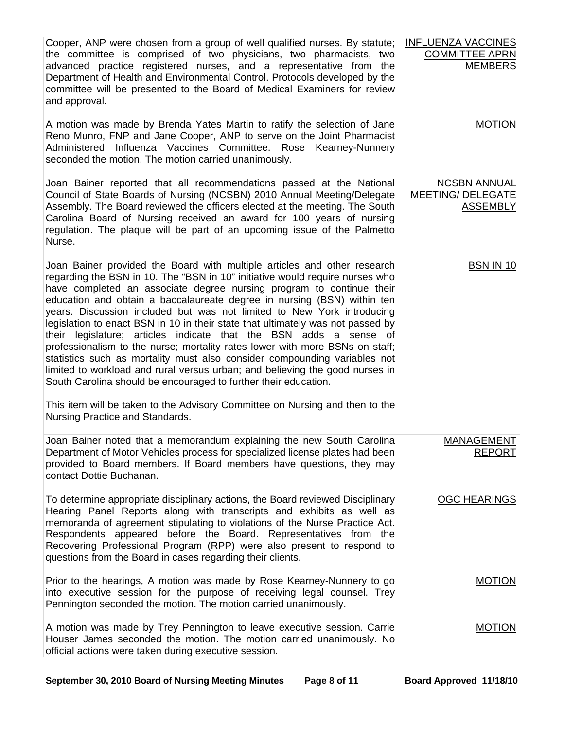| Cooper, ANP were chosen from a group of well qualified nurses. By statute;<br>the committee is comprised of two physicians, two pharmacists, two<br>advanced practice registered nurses, and a representative from the<br>Department of Health and Environmental Control. Protocols developed by the<br>committee will be presented to the Board of Medical Examiners for review<br>and approval.                                                                                                                                                                                                                                                                                                                                                                                                                                                                                                                                                                                | <b>INFLUENZA VACCINES</b><br><b>COMMITTEE APRN</b><br><b>MEMBERS</b> |
|----------------------------------------------------------------------------------------------------------------------------------------------------------------------------------------------------------------------------------------------------------------------------------------------------------------------------------------------------------------------------------------------------------------------------------------------------------------------------------------------------------------------------------------------------------------------------------------------------------------------------------------------------------------------------------------------------------------------------------------------------------------------------------------------------------------------------------------------------------------------------------------------------------------------------------------------------------------------------------|----------------------------------------------------------------------|
| A motion was made by Brenda Yates Martin to ratify the selection of Jane<br>Reno Munro, FNP and Jane Cooper, ANP to serve on the Joint Pharmacist<br>Administered Influenza Vaccines Committee. Rose Kearney-Nunnery<br>seconded the motion. The motion carried unanimously.                                                                                                                                                                                                                                                                                                                                                                                                                                                                                                                                                                                                                                                                                                     | <b>MOTION</b>                                                        |
| Joan Bainer reported that all recommendations passed at the National<br>Council of State Boards of Nursing (NCSBN) 2010 Annual Meeting/Delegate<br>Assembly. The Board reviewed the officers elected at the meeting. The South<br>Carolina Board of Nursing received an award for 100 years of nursing<br>regulation. The plaque will be part of an upcoming issue of the Palmetto<br>Nurse.                                                                                                                                                                                                                                                                                                                                                                                                                                                                                                                                                                                     | <b>NCSBN ANNUAL</b><br><b>MEETING/ DELEGATE</b><br><b>ASSEMBLY</b>   |
| Joan Bainer provided the Board with multiple articles and other research<br>regarding the BSN in 10. The "BSN in 10" initiative would require nurses who<br>have completed an associate degree nursing program to continue their<br>education and obtain a baccalaureate degree in nursing (BSN) within ten<br>years. Discussion included but was not limited to New York introducing<br>legislation to enact BSN in 10 in their state that ultimately was not passed by<br>their legislature; articles indicate that the BSN adds a sense of<br>professionalism to the nurse; mortality rates lower with more BSNs on staff;<br>statistics such as mortality must also consider compounding variables not<br>limited to workload and rural versus urban; and believing the good nurses in<br>South Carolina should be encouraged to further their education.<br>This item will be taken to the Advisory Committee on Nursing and then to the<br>Nursing Practice and Standards. | <b>BSN IN 10</b>                                                     |
| Joan Bainer noted that a memorandum explaining the new South Carolina<br>Department of Motor Vehicles process for specialized license plates had been<br>provided to Board members. If Board members have questions, they may<br>contact Dottie Buchanan.                                                                                                                                                                                                                                                                                                                                                                                                                                                                                                                                                                                                                                                                                                                        | <b>MANAGEMENT</b><br><b>REPORT</b>                                   |
| To determine appropriate disciplinary actions, the Board reviewed Disciplinary<br>Hearing Panel Reports along with transcripts and exhibits as well as<br>memoranda of agreement stipulating to violations of the Nurse Practice Act.<br>Respondents appeared before the Board. Representatives from the<br>Recovering Professional Program (RPP) were also present to respond to<br>questions from the Board in cases regarding their clients.                                                                                                                                                                                                                                                                                                                                                                                                                                                                                                                                  | <b>OGC HEARINGS</b>                                                  |
| Prior to the hearings, A motion was made by Rose Kearney-Nunnery to go<br>into executive session for the purpose of receiving legal counsel. Trey<br>Pennington seconded the motion. The motion carried unanimously.                                                                                                                                                                                                                                                                                                                                                                                                                                                                                                                                                                                                                                                                                                                                                             | <b>MOTION</b>                                                        |
| A motion was made by Trey Pennington to leave executive session. Carrie<br>Houser James seconded the motion. The motion carried unanimously. No<br>official actions were taken during executive session.                                                                                                                                                                                                                                                                                                                                                                                                                                                                                                                                                                                                                                                                                                                                                                         | <b>MOTION</b>                                                        |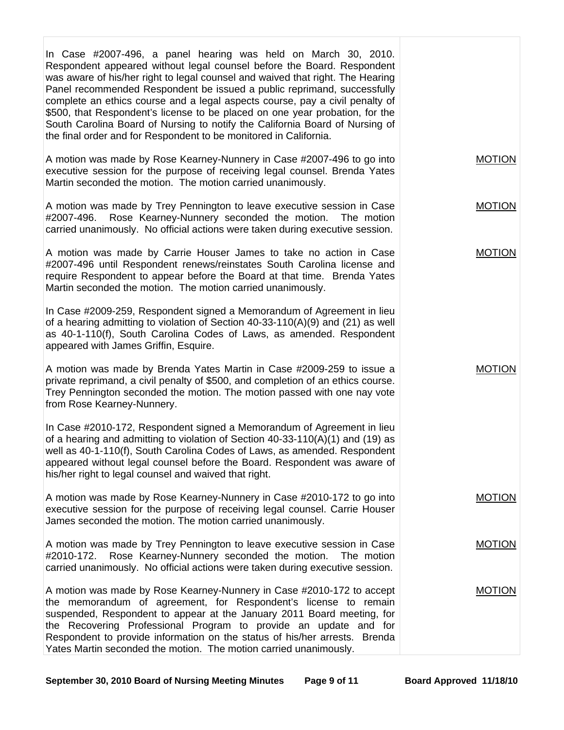| In Case #2007-496, a panel hearing was held on March 30, 2010.<br>Respondent appeared without legal counsel before the Board. Respondent<br>was aware of his/her right to legal counsel and waived that right. The Hearing<br>Panel recommended Respondent be issued a public reprimand, successfully<br>complete an ethics course and a legal aspects course, pay a civil penalty of<br>\$500, that Respondent's license to be placed on one year probation, for the<br>South Carolina Board of Nursing to notify the California Board of Nursing of<br>the final order and for Respondent to be monitored in California. |               |
|----------------------------------------------------------------------------------------------------------------------------------------------------------------------------------------------------------------------------------------------------------------------------------------------------------------------------------------------------------------------------------------------------------------------------------------------------------------------------------------------------------------------------------------------------------------------------------------------------------------------------|---------------|
| A motion was made by Rose Kearney-Nunnery in Case #2007-496 to go into<br>executive session for the purpose of receiving legal counsel. Brenda Yates<br>Martin seconded the motion. The motion carried unanimously.                                                                                                                                                                                                                                                                                                                                                                                                        | <b>MOTION</b> |
| A motion was made by Trey Pennington to leave executive session in Case<br>Rose Kearney-Nunnery seconded the motion.<br>#2007-496.<br>The motion<br>carried unanimously. No official actions were taken during executive session.                                                                                                                                                                                                                                                                                                                                                                                          | <b>MOTION</b> |
| A motion was made by Carrie Houser James to take no action in Case<br>#2007-496 until Respondent renews/reinstates South Carolina license and<br>require Respondent to appear before the Board at that time. Brenda Yates<br>Martin seconded the motion. The motion carried unanimously.                                                                                                                                                                                                                                                                                                                                   | <b>MOTION</b> |
| In Case #2009-259, Respondent signed a Memorandum of Agreement in lieu<br>of a hearing admitting to violation of Section $40-33-110(A)(9)$ and (21) as well<br>as 40-1-110(f), South Carolina Codes of Laws, as amended. Respondent<br>appeared with James Griffin, Esquire.                                                                                                                                                                                                                                                                                                                                               |               |
| A motion was made by Brenda Yates Martin in Case #2009-259 to issue a<br>private reprimand, a civil penalty of \$500, and completion of an ethics course.<br>Trey Pennington seconded the motion. The motion passed with one nay vote<br>from Rose Kearney-Nunnery.                                                                                                                                                                                                                                                                                                                                                        | <b>MOTION</b> |
| In Case #2010-172, Respondent signed a Memorandum of Agreement in lieu<br>of a hearing and admitting to violation of Section 40-33-110(A)(1) and (19) as<br>well as 40-1-110(f), South Carolina Codes of Laws, as amended. Respondent<br>appeared without legal counsel before the Board. Respondent was aware of<br>his/her right to legal counsel and waived that right.                                                                                                                                                                                                                                                 |               |
| A motion was made by Rose Kearney-Nunnery in Case #2010-172 to go into<br>executive session for the purpose of receiving legal counsel. Carrie Houser<br>James seconded the motion. The motion carried unanimously.                                                                                                                                                                                                                                                                                                                                                                                                        | <b>MOTION</b> |
| A motion was made by Trey Pennington to leave executive session in Case<br>Rose Kearney-Nunnery seconded the motion.<br>#2010-172.<br>The motion<br>carried unanimously. No official actions were taken during executive session.                                                                                                                                                                                                                                                                                                                                                                                          | <b>MOTION</b> |
| A motion was made by Rose Kearney-Nunnery in Case #2010-172 to accept<br>the memorandum of agreement, for Respondent's license to remain<br>suspended, Respondent to appear at the January 2011 Board meeting, for<br>the Recovering Professional Program to provide an update and for<br>Respondent to provide information on the status of his/her arrests. Brenda<br>Yates Martin seconded the motion. The motion carried unanimously.                                                                                                                                                                                  | <b>MOTION</b> |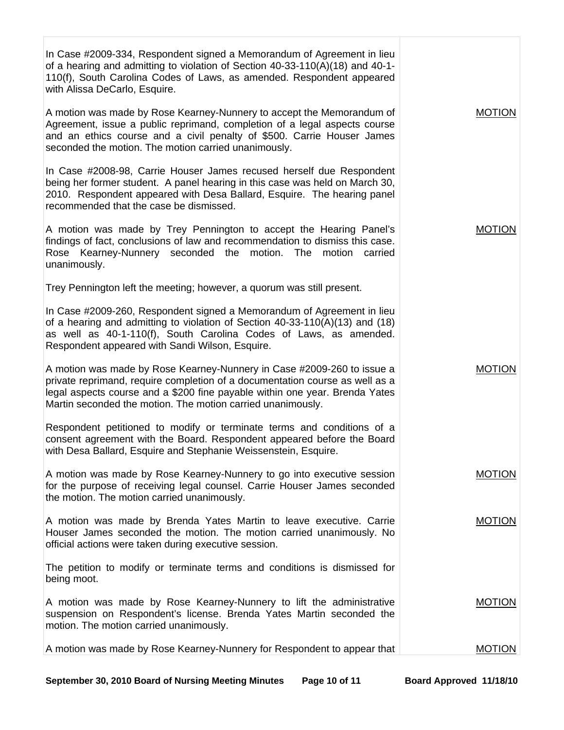| In Case #2009-334, Respondent signed a Memorandum of Agreement in lieu<br>of a hearing and admitting to violation of Section 40-33-110(A)(18) and 40-1-<br>110(f), South Carolina Codes of Laws, as amended. Respondent appeared<br>with Alissa DeCarlo, Esquire.                                    |               |
|------------------------------------------------------------------------------------------------------------------------------------------------------------------------------------------------------------------------------------------------------------------------------------------------------|---------------|
| A motion was made by Rose Kearney-Nunnery to accept the Memorandum of<br>Agreement, issue a public reprimand, completion of a legal aspects course<br>and an ethics course and a civil penalty of \$500. Carrie Houser James<br>seconded the motion. The motion carried unanimously.                 | <b>MOTION</b> |
| In Case #2008-98, Carrie Houser James recused herself due Respondent<br>being her former student. A panel hearing in this case was held on March 30,<br>2010. Respondent appeared with Desa Ballard, Esquire. The hearing panel<br>recommended that the case be dismissed.                           |               |
| A motion was made by Trey Pennington to accept the Hearing Panel's<br>findings of fact, conclusions of law and recommendation to dismiss this case.<br>Rose Kearney-Nunnery seconded the motion. The<br>motion<br>carried<br>unanimously.                                                            | <b>MOTION</b> |
| Trey Pennington left the meeting; however, a quorum was still present.                                                                                                                                                                                                                               |               |
| In Case #2009-260, Respondent signed a Memorandum of Agreement in lieu<br>of a hearing and admitting to violation of Section $40-33-110(A)(13)$ and (18)<br>as well as 40-1-110(f), South Carolina Codes of Laws, as amended.<br>Respondent appeared with Sandi Wilson, Esquire.                     |               |
| A motion was made by Rose Kearney-Nunnery in Case #2009-260 to issue a<br>private reprimand, require completion of a documentation course as well as a<br>legal aspects course and a \$200 fine payable within one year. Brenda Yates<br>Martin seconded the motion. The motion carried unanimously. | <b>MOTION</b> |
| Respondent petitioned to modify or terminate terms and conditions of a<br>consent agreement with the Board. Respondent appeared before the Board<br>with Desa Ballard, Esquire and Stephanie Weissenstein, Esquire.                                                                                  |               |
| A motion was made by Rose Kearney-Nunnery to go into executive session<br>for the purpose of receiving legal counsel. Carrie Houser James seconded<br>the motion. The motion carried unanimously.                                                                                                    | <b>MOTION</b> |
| A motion was made by Brenda Yates Martin to leave executive. Carrie<br>Houser James seconded the motion. The motion carried unanimously. No<br>official actions were taken during executive session.                                                                                                 | <b>MOTION</b> |
| The petition to modify or terminate terms and conditions is dismissed for<br>being moot.                                                                                                                                                                                                             |               |
| A motion was made by Rose Kearney-Nunnery to lift the administrative<br>suspension on Respondent's license. Brenda Yates Martin seconded the<br>motion. The motion carried unanimously.                                                                                                              | <b>MOTION</b> |
| A motion was made by Rose Kearney-Nunnery for Respondent to appear that                                                                                                                                                                                                                              | <b>MOTION</b> |

September 30, 2010 Board of Nursing Meeting Minutes Page 10 of 11 Board Approved 11/18/10